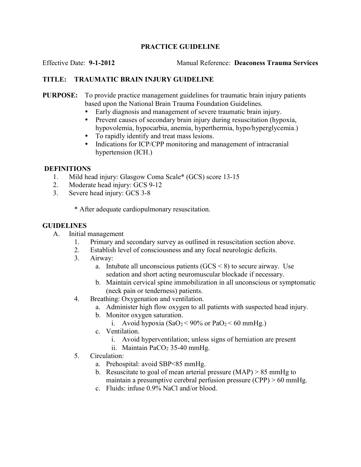# PRACTICE GUIDELINE

Effective Date: 9-1-2012 Manual Reference: Deaconess Trauma Services

# TITLE: TRAUMATIC BRAIN INJURY GUIDELINE

#### PURPOSE: To provide practice management guidelines for traumatic brain injury patients based upon the National Brain Trauma Foundation Guidelines.

- Early diagnosis and management of severe traumatic brain injury.
- Prevent causes of secondary brain injury during resuscitation (hypoxia, hypovolemia, hypocarbia, anemia, hyperthermia, hypo/hyperglycemia.)
- To rapidly identify and treat mass lesions.
- Indications for ICP/CPP monitoring and management of intracranial hypertension (ICH.)

### DEFINITIONS

- 1. Mild head injury: Glasgow Coma Scale\* (GCS) score 13-15
- 2. Moderate head injury: GCS 9-12
- 3. Severe head injury: GCS 3-8

\* After adequate cardiopulmonary resuscitation.

### GUIDELINES

- A. Initial management
	- 1. Primary and secondary survey as outlined in resuscitation section above.
	- 2. Establish level of consciousness and any focal neurologic deficits.
	- 3. Airway:
		- a. Intubate all unconscious patients  $(GCS < 8)$  to secure airway. Use sedation and short acting neuromuscular blockade if necessary.
		- b. Maintain cervical spine immobilization in all unconscious or symptomatic (neck pain or tenderness) patients.
	- 4. Breathing: Oxygenation and ventilation.
		- a. Administer high flow oxygen to all patients with suspected head injury.
		- b. Monitor oxygen saturation.
			- i. Avoid hypoxia  $(SaO<sub>2</sub>< 90\%$  or  $PaO<sub>2</sub>< 60$  mmHg.)
		- c. Ventilation.
			- i. Avoid hyperventilation; unless signs of herniation are present
			- ii. Maintain PaCO<sub>2</sub> 35-40 mmHg.
	- 5. Circulation:
		- a. Prehospital: avoid SBP<85 mmHg.
		- b. Resuscitate to goal of mean arterial pressure  $(MAP) > 85$  mmHg to maintain a presumptive cerebral perfusion pressure (CPP) > 60 mmHg.
		- c. Fluids: infuse 0.9% NaCl and/or blood.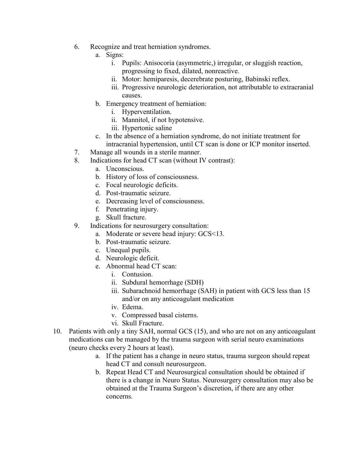- 6. Recognize and treat herniation syndromes.
	- a. Signs:
		- i. Pupils: Anisocoria (asymmetric,) irregular, or sluggish reaction, progressing to fixed, dilated, nonreactive.
		- ii. Motor: hemiparesis, decerebrate posturing, Babinski reflex.
		- iii. Progressive neurologic deterioration, not attributable to extracranial causes.
		- b. Emergency treatment of herniation:
			- i. Hyperventilation.
			- ii. Mannitol, if not hypotensive.
			- iii. Hypertonic saline
	- c. In the absence of a herniation syndrome, do not initiate treatment for intracranial hypertension, until CT scan is done or ICP monitor inserted.
- 7. Manage all wounds in a sterile manner.
- 8. Indications for head CT scan (without IV contrast):
	- a. Unconscious.
	- b. History of loss of consciousness.
	- c. Focal neurologic deficits.
	- d. Post-traumatic seizure.
	- e. Decreasing level of consciousness.
	- f. Penetrating injury.
	- g. Skull fracture.
- 9. Indications for neurosurgery consultation:
	- a. Moderate or severe head injury: GCS<13.
	- b. Post-traumatic seizure.
	- c. Unequal pupils.
	- d. Neurologic deficit.
	- e. Abnormal head CT scan:
		- i. Contusion.
		- ii. Subdural hemorrhage (SDH)
		- iii. Subarachnoid hemorrhage (SAH) in patient with GCS less than 15 and/or on any anticoagulant medication
		- iv. Edema.
		- v. Compressed basal cisterns.
		- vi. Skull Fracture.
- 10. Patients with only a tiny SAH, normal GCS (15), and who are not on any anticoagulant medications can be managed by the trauma surgeon with serial neuro examinations (neuro checks every 2 hours at least).
	- a. If the patient has a change in neuro status, trauma surgeon should repeat head CT and consult neurosurgeon.
	- b. Repeat Head CT and Neurosurgical consultation should be obtained if there is a change in Neuro Status. Neurosurgery consultation may also be obtained at the Trauma Surgeon's discretion, if there are any other concerns.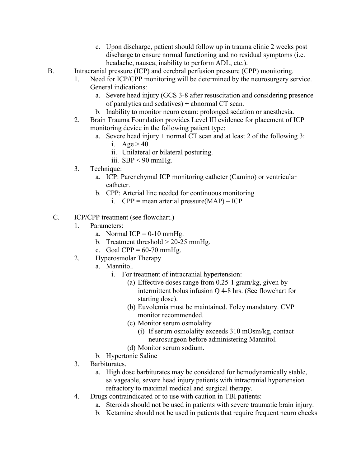- c. Upon discharge, patient should follow up in trauma clinic 2 weeks post discharge to ensure normal functioning and no residual symptoms (i.e. headache, nausea, inability to perform ADL, etc.).
- B. Intracranial pressure (ICP) and cerebral perfusion pressure (CPP) monitoring.
	- 1. Need for ICP/CPP monitoring will be determined by the neurosurgery service. General indications:
		- a. Severe head injury (GCS 3-8 after resuscitation and considering presence of paralytics and sedatives) + abnormal CT scan.
		- b. Inability to monitor neuro exam: prolonged sedation or anesthesia.
	- 2. Brain Trauma Foundation provides Level III evidence for placement of ICP monitoring device in the following patient type:
		- a. Severe head injury + normal CT scan and at least 2 of the following 3:
			- i.  $Age > 40$ .
			- ii. Unilateral or bilateral posturing.
			- iii.  $SBP < 90$  mmHg.
	- 3. Technique:
		- a. ICP: Parenchymal ICP monitoring catheter (Camino) or ventricular catheter.
		- b. CPP: Arterial line needed for continuous monitoring
			- i.  $CPP = mean$  arterial pressure(MAP) ICP
	- C. ICP/CPP treatment (see flowchart.)
		- 1. Parameters:
			- a. Normal ICP =  $0-10$  mmHg.
			- b. Treatment threshold > 20-25 mmHg.
			- c. Goal CPP =  $60-70$  mmHg.
		- 2. Hyperosmolar Therapy
			- a. Mannitol.
				- i. For treatment of intracranial hypertension:
					- (a) Effective doses range from 0.25-1 gram/kg, given by intermittent bolus infusion Q 4-8 hrs. (See flowchart for starting dose).
					- (b) Euvolemia must be maintained. Foley mandatory. CVP monitor recommended.
					- (c) Monitor serum osmolality
						- (i) If serum osmolality exceeds 310 mOsm/kg, contact neurosurgeon before administering Mannitol.
					- (d) Monitor serum sodium.
			- b. Hypertonic Saline
		- 3. Barbiturates.
			- a. High dose barbiturates may be considered for hemodynamically stable, salvageable, severe head injury patients with intracranial hypertension refractory to maximal medical and surgical therapy.
		- 4. Drugs contraindicated or to use with caution in TBI patients:
			- a. Steroids should not be used in patients with severe traumatic brain injury.
			- b. Ketamine should not be used in patients that require frequent neuro checks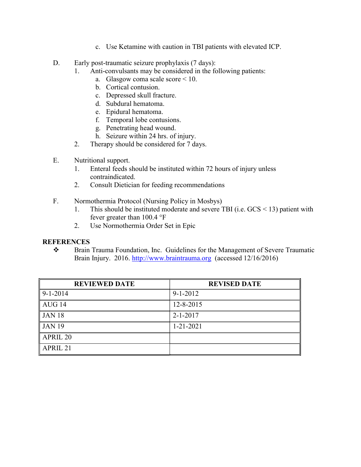- c. Use Ketamine with caution in TBI patients with elevated ICP.
- D. Early post-traumatic seizure prophylaxis (7 days):
	- 1. Anti-convulsants may be considered in the following patients:
		- a. Glasgow coma scale score < 10.
		- b. Cortical contusion.
		- c. Depressed skull fracture.
		- d. Subdural hematoma.
		- e. Epidural hematoma.
		- f. Temporal lobe contusions.
		- g. Penetrating head wound.
		- h. Seizure within 24 hrs. of injury.
	- 2. Therapy should be considered for 7 days.
- E. Nutritional support.
	- 1. Enteral feeds should be instituted within 72 hours of injury unless contraindicated.
	- 2. Consult Dietician for feeding recommendations
- F. Normothermia Protocol (Nursing Policy in Mosbys)
	- 1. This should be instituted moderate and severe TBI (i.e. GCS < 13) patient with fever greater than 100.4 °F
	- 2. Use Normothermia Order Set in Epic

# **REFERENCES**

\* Brain Trauma Foundation, Inc. Guidelines for the Management of Severe Traumatic Brain Injury. 2016. http://www.braintrauma.org (accessed 12/16/2016)

| <b>REVIEWED DATE</b>              | <b>REVISED DATE</b> |
|-----------------------------------|---------------------|
| $9-1-2014$                        | $9 - 1 - 2012$      |
| AUG 14                            | 12-8-2015           |
| <b>JAN 18</b>                     | $2 - 1 - 2017$      |
| JAN 19                            | $1 - 21 - 2021$     |
| <b>APRIL 20</b>                   |                     |
| $\overline{\phantom{a}}$ APRIL 21 |                     |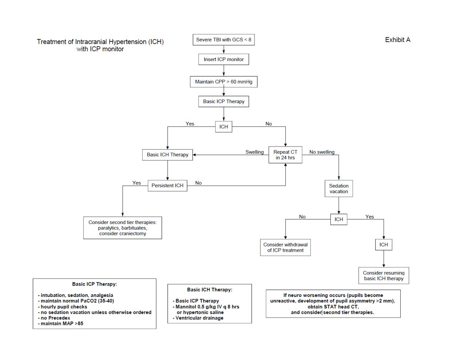